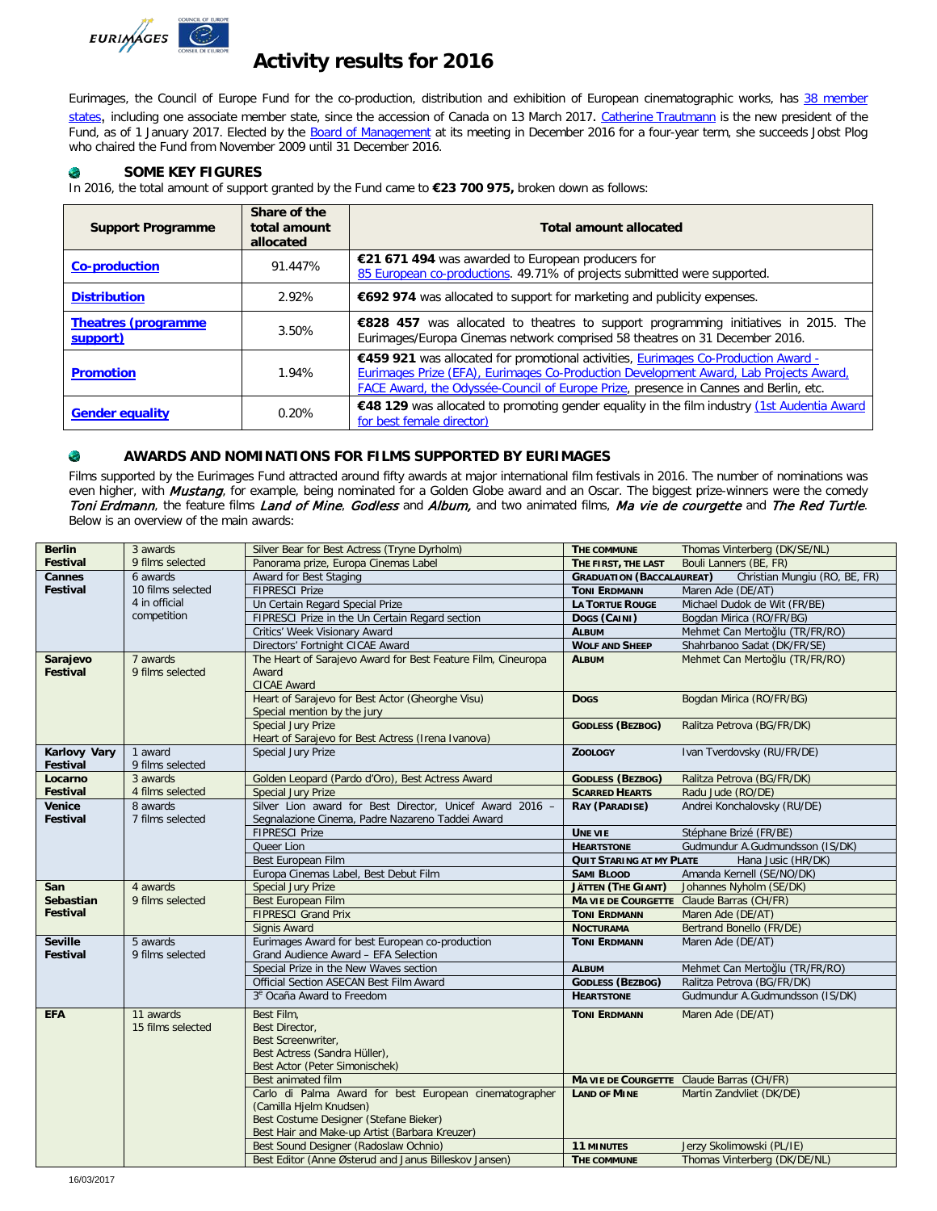

# **Activity results for 2016**

Eurimages, the Council of Europe Fund for the co-production, distribution and exhibition of European cinematographic works, has 38 member [states](http://www.coe.int/t/dg4/eurimages/about/memberstates_EN.asp?), including one associate member state, since the accession of Canada on 13 March 2017. Catherine [Trautmann](http://www.coe.int/t/dg4/eurimages/about/president_EN.asp?) is the new president of the Fund, as of 1 January 2017. Elected by the [Board of Management](http://www.coe.int/t/dg4/eurimages/about/committee_EN.asp?) at its meeting in December 2016 for a four-year term, she succeeds Jobst Plog who chaired the Fund from November 2009 until 31 December 2016.

### ٠ **SOME KEY FIGURES**

In 2016, the total amount of support granted by the Fund came to **€23 700 975,** broken down as follows:

| <b>Support Programme</b>                | Share of the<br>total amount<br>allocated | <b>Total amount allocated</b>                                                                                                                                                                                                                                       |  |
|-----------------------------------------|-------------------------------------------|---------------------------------------------------------------------------------------------------------------------------------------------------------------------------------------------------------------------------------------------------------------------|--|
| <b>Co-production</b>                    | 91.447%                                   | €21 671 494 was awarded to European producers for<br>85 European co-productions. 49.71% of projects submitted were supported.                                                                                                                                       |  |
| <b>Distribution</b>                     | 2.92%                                     | €692 974 was allocated to support for marketing and publicity expenses.                                                                                                                                                                                             |  |
| <b>Theatres (programme)</b><br>support) | 3.50%                                     | €828 457 was allocated to theatres to support programming initiatives in 2015. The<br>Eurimages/Europa Cinemas network comprised 58 theatres on 31 December 2016.                                                                                                   |  |
| <b>Promotion</b>                        | 1.94%                                     | €459 921 was allocated for promotional activities, Eurimages Co-Production Award -<br>Eurimages Prize (EFA), Eurimages Co-Production Development Award, Lab Projects Award,<br>FACE Award, the Odyssée-Council of Europe Prize, presence in Cannes and Berlin, etc. |  |
| <b>Gender equality</b>                  | 0.20%                                     | €48 129 was allocated to promoting gender equality in the film industry (1st Audentia Award<br>for best female director)                                                                                                                                            |  |

#### ۰ **AWARDS AND NOMINATIONS FOR FILMS SUPPORTED BY EURIMAGES**

Films supported by the Eurimages Fund attracted around fifty awards at major international film festivals in 2016. The number of nominations was even higher, with *Mustang*, for example, being nominated for a Golden Globe award and an Oscar. The biggest prize-winners were the comedy Toni Erdmann, the feature films Land of Mine, Godless and Album, and two animated films, Ma vie de courgette and The Red Turtle. Below is an overview of the main awards:

| <b>Berlin</b>              | 3 awards                       | Silver Bear for Best Actress (Tryne Dyrholm)                                                                                                                                  | THE COMMUNE                      | Thomas Vinterberg (DK/SE/NL)              |
|----------------------------|--------------------------------|-------------------------------------------------------------------------------------------------------------------------------------------------------------------------------|----------------------------------|-------------------------------------------|
| Festival                   | 9 films selected               | Panorama prize, Europa Cinemas Label                                                                                                                                          | THE FIRST, THE LAST              | Bouli Lanners (BE, FR)                    |
| <b>Cannes</b>              | 6 awards                       | Award for Best Staging                                                                                                                                                        | <b>GRADUATION (BACCALAUREAT)</b> | Christian Mungiu (RO, BE, FR)             |
| <b>Festival</b>            | 10 films selected              | <b>FIPRESCI Prize</b>                                                                                                                                                         | <b>TONI ERDMANN</b>              | Maren Ade (DE/AT)                         |
|                            | 4 in official                  | Un Certain Regard Special Prize                                                                                                                                               | <b>LA TORTUE ROUGE</b>           | Michael Dudok de Wit (FR/BE)              |
|                            | competition                    | FIPRESCI Prize in the Un Certain Regard section                                                                                                                               | Dogs (CAINI)                     | Bogdan Mirica (RO/FR/BG)                  |
|                            |                                | Critics' Week Visionary Award                                                                                                                                                 | <b>ALBUM</b>                     | Mehmet Can Mertoğlu (TR/FR/RO)            |
|                            |                                | Directors' Fortnight CICAE Award                                                                                                                                              | <b>WOLF AND SHEEP</b>            | Shahrbanoo Sadat (DK/FR/SE)               |
| Sarajevo<br>Festival       | 7 awards<br>9 films selected   | The Heart of Sarajevo Award for Best Feature Film, Cineuropa<br>Award<br><b>CICAE Award</b>                                                                                   | <b>ALBUM</b>                     | Mehmet Can Mertoğlu (TR/FR/RO)            |
|                            |                                | Heart of Sarajevo for Best Actor (Gheorghe Visu)<br>Special mention by the jury                                                                                               | <b>Dogs</b>                      | Bogdan Mirica (RO/FR/BG)                  |
|                            |                                | <b>Special Jury Prize</b><br>Heart of Sarajevo for Best Actress (Irena Ivanova)                                                                                               | <b>GODLESS (BEZBOG)</b>          | Ralitza Petrova (BG/FR/DK)                |
| Karlovy Vary<br>Festival   | 1 award<br>9 films selected    | Special Jury Prize                                                                                                                                                            | <b>ZOOLOGY</b>                   | Ivan Tverdovsky (RU/FR/DE)                |
| Locarno                    | 3 awards                       | Golden Leopard (Pardo d'Oro), Best Actress Award                                                                                                                              | <b>GODLESS (BEZBOG)</b>          | Ralitza Petrova (BG/FR/DK)                |
| <b>Festival</b>            | 4 films selected               | <b>Special Jury Prize</b>                                                                                                                                                     | <b>SCARRED HEARTS</b>            | Radu Jude (RO/DE)                         |
| Venice<br>Festival         | 8 awards<br>7 films selected   | Silver Lion award for Best Director, Unicef Award 2016 -<br>Segnalazione Cinema, Padre Nazareno Taddei Award                                                                  | RAY (PARADISE)                   | Andrei Konchalovsky (RU/DE)               |
|                            |                                | <b>FIPRESCI Prize</b>                                                                                                                                                         | <b>UNE VIE</b>                   | Stéphane Brizé (FR/BE)                    |
|                            |                                | Queer Lion                                                                                                                                                                    | <b>HEARTSTONE</b>                | Gudmundur A.Gudmundsson (IS/DK)           |
|                            |                                | Best European Film                                                                                                                                                            | <b>QUIT STARING AT MY PLATE</b>  | Hana Jusic (HR/DK)                        |
|                            |                                | Europa Cinemas Label, Best Debut Film                                                                                                                                         | <b>SAMI BLOOD</b>                | Amanda Kernell (SE/NO/DK)                 |
| San                        | 4 awards                       | <b>Special Jury Prize</b>                                                                                                                                                     | <b>JÄTTEN (THE GIANT)</b>        | Johannes Nyholm (SE/DK)                   |
| <b>Sebastian</b>           | 9 films selected               | Best European Film                                                                                                                                                            |                                  | MA VIE DE COURGETTE Claude Barras (CH/FR) |
| <b>Festival</b>            |                                | <b>FIPRESCI Grand Prix</b>                                                                                                                                                    | <b>TONI ERDMANN</b>              | Maren Ade (DE/AT)                         |
|                            |                                | Signis Award                                                                                                                                                                  | <b>NOCTURAMA</b>                 | Bertrand Bonello (FR/DE)                  |
| <b>Seville</b><br>Festival | 5 awards<br>9 films selected   | Eurimages Award for best European co-production<br>Grand Audience Award - EFA Selection                                                                                       | <b>TONI ERDMANN</b>              | Maren Ade (DE/AT)                         |
|                            |                                | Special Prize in the New Waves section                                                                                                                                        | <b>ALBUM</b>                     | Mehmet Can Mertoğlu (TR/FR/RO)            |
|                            |                                | Official Section ASECAN Best Film Award                                                                                                                                       | <b>GODLESS (BEZBOG)</b>          | Ralitza Petrova (BG/FR/DK)                |
|                            |                                | 3 <sup>e</sup> Ocaña Award to Freedom                                                                                                                                         | <b>HEARTSTONE</b>                | Gudmundur A.Gudmundsson (IS/DK)           |
| <b>EFA</b>                 | 11 awards<br>15 films selected | Best Film.<br><b>Best Director,</b><br>Best Screenwriter,<br>Best Actress (Sandra Hüller),<br>Best Actor (Peter Simonischek)                                                  | <b>TONI ERDMANN</b>              | Maren Ade (DE/AT)                         |
|                            |                                | Best animated film                                                                                                                                                            |                                  | MA VIE DE COURGETTE Claude Barras (CH/FR) |
|                            |                                | Carlo di Palma Award for best European cinematographer<br>(Camilla Hjelm Knudsen)<br>Best Costume Designer (Stefane Bieker)<br>Best Hair and Make-up Artist (Barbara Kreuzer) | <b>LAND OF MINE</b>              | Martin Zandvliet (DK/DE)                  |
|                            |                                | Best Sound Designer (Radoslaw Ochnio)                                                                                                                                         | <b>11 MINUTES</b>                | Jerzy Skolimowski (PL/IE)                 |
|                            |                                | Best Editor (Anne Østerud and Janus Billeskov Jansen)                                                                                                                         | THE COMMUNE                      | Thomas Vinterberg (DK/DE/NL)              |